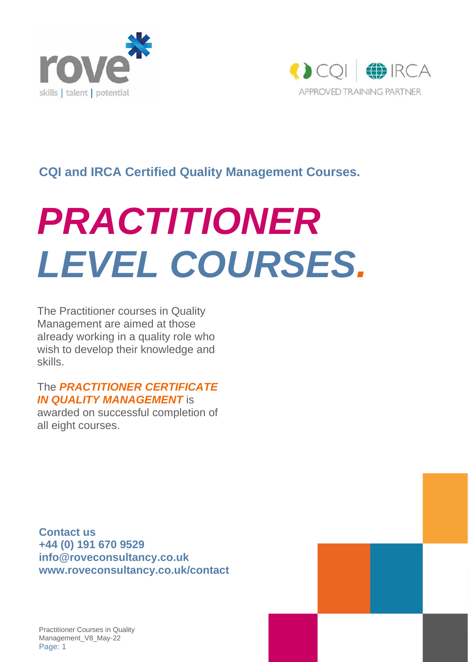



### **CQI and IRCA Certified Quality Management Courses.**

# *PRACTITIONER LEVEL COURSES.*

The Practitioner courses in Quality Management are aimed at those already working in a quality role who wish to develop their knowledge and skills.

### The *PRACTITIONER CERTIFICATE IN QUALITY MANAGEMENT* is

awarded on successful completion of all eight courses.

**Contact us +44 (0) 191 670 9529 [info@roveconsultancy.co.uk](mailto:info@roveconsultancy.co.uk) www.roveconsultancy.co.uk/contact**

Practitioner Courses in Quality Management\_V8\_May-22 Page: 1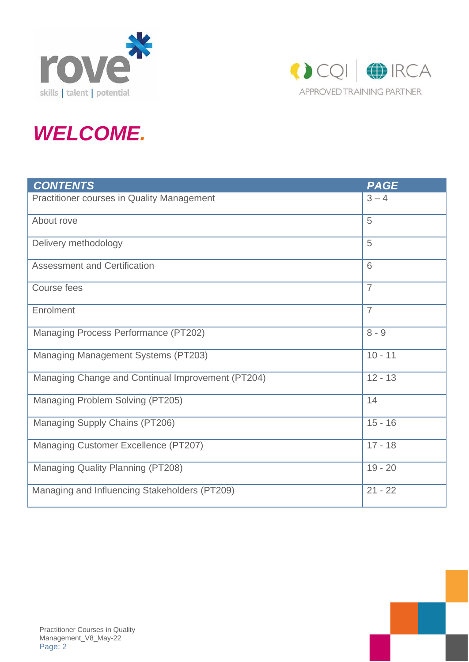



# *WELCOME.*

| <b>CONTENTS</b>                                   | <b>PAGE</b>    |
|---------------------------------------------------|----------------|
| <b>Practitioner courses in Quality Management</b> | $3 - 4$        |
| About rove                                        | 5              |
| Delivery methodology                              | 5              |
| <b>Assessment and Certification</b>               | 6              |
| Course fees                                       | $\overline{7}$ |
| Enrolment                                         | $\overline{7}$ |
| Managing Process Performance (PT202)              | $8 - 9$        |
| <b>Managing Management Systems (PT203)</b>        | $10 - 11$      |
| Managing Change and Continual Improvement (PT204) | $12 - 13$      |
| Managing Problem Solving (PT205)                  | 14             |
| Managing Supply Chains (PT206)                    | $15 - 16$      |
| Managing Customer Excellence (PT207)              | $17 - 18$      |
| Managing Quality Planning (PT208)                 | $19 - 20$      |
| Managing and Influencing Stakeholders (PT209)     | $21 - 22$      |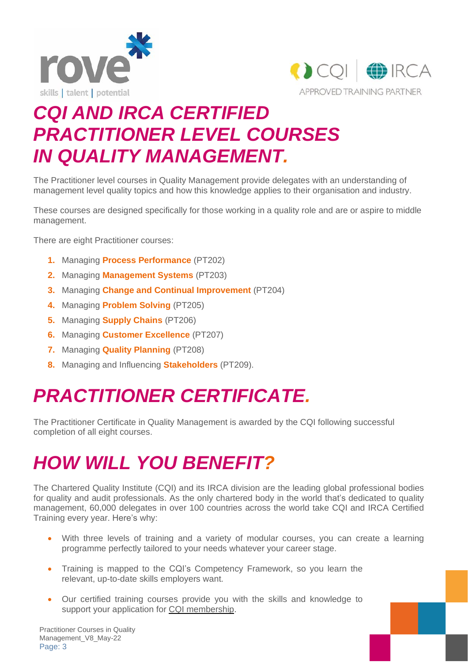



## *CQI AND IRCA CERTIFIED PRACTITIONER LEVEL COURSES IN QUALITY MANAGEMENT.*

The Practitioner level courses in Quality Management provide delegates with an understanding of management level quality topics and how this knowledge applies to their organisation and industry.

These courses are designed specifically for those working in a quality role and are or aspire to middle management.

There are eight Practitioner courses:

- **1.** Managing **Process Performance** (PT202)
- **2.** Managing **Management Systems** (PT203)
- **3.** Managing **Change and Continual Improvement** (PT204)
- **4.** Managing **Problem Solving** (PT205)
- **5.** Managing **Supply Chains** (PT206)
- **6.** Managing **Customer Excellence** (PT207)
- **7.** Managing **Quality Planning** (PT208)
- **8.** Managing and Influencing **Stakeholders** (PT209).

## *PRACTITIONER CERTIFICATE.*

The Practitioner Certificate in Quality Management is awarded by the CQI following successful completion of all eight courses.

# *HOW WILL YOU BENEFIT?*

The Chartered Quality Institute (CQI) and its IRCA division are the leading global professional bodies for quality and audit professionals. As the only chartered body in the world that's dedicated to quality management, 60,000 delegates in over 100 countries across the world take CQI and IRCA Certified Training every year. Here's why:

- With three levels of training and a variety of modular courses, you can create a learning programme perfectly tailored to your needs whatever your career stage.
- Training is mapped to the CQI's Competency Framework, so you learn the relevant, up-to-date skills employers want.
- Our certified training courses provide you with the skills and knowledge to support your application for CQI [membership.](https://www.quality.org/cqimembership-become-member)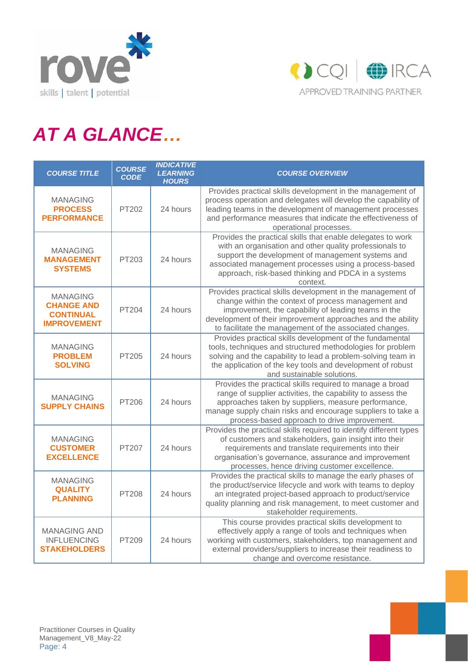



# *AT A GLANCE…*

| <b>COURSE TITLE</b>                                                            | <b>COURSE</b><br><b>CODE</b> | <b>INDICATIVE</b><br><b>LEARNING</b><br><b>HOURS</b> | <b>COURSE OVERVIEW</b>                                                                                                                                                                                                                                                                                  |
|--------------------------------------------------------------------------------|------------------------------|------------------------------------------------------|---------------------------------------------------------------------------------------------------------------------------------------------------------------------------------------------------------------------------------------------------------------------------------------------------------|
| <b>MANAGING</b><br><b>PROCESS</b><br><b>PERFORMANCE</b>                        | PT202                        | 24 hours                                             | Provides practical skills development in the management of<br>process operation and delegates will develop the capability of<br>leading teams in the development of management processes<br>and performance measures that indicate the effectiveness of<br>operational processes.                       |
| <b>MANAGING</b><br><b>MANAGEMENT</b><br><b>SYSTEMS</b>                         | PT203                        | 24 hours                                             | Provides the practical skills that enable delegates to work<br>with an organisation and other quality professionals to<br>support the development of management systems and<br>associated management processes using a process-based<br>approach, risk-based thinking and PDCA in a systems<br>context. |
| <b>MANAGING</b><br><b>CHANGE AND</b><br><b>CONTINUAL</b><br><b>IMPROVEMENT</b> | <b>PT204</b>                 | 24 hours                                             | Provides practical skills development in the management of<br>change within the context of process management and<br>improvement, the capability of leading teams in the<br>development of their improvement approaches and the ability<br>to facilitate the management of the associated changes.      |
| <b>MANAGING</b><br><b>PROBLEM</b><br><b>SOLVING</b>                            | PT205                        | 24 hours                                             | Provides practical skills development of the fundamental<br>tools, techniques and structured methodologies for problem<br>solving and the capability to lead a problem-solving team in<br>the application of the key tools and development of robust<br>and sustainable solutions.                      |
| <b>MANAGING</b><br><b>SUPPLY CHAINS</b>                                        | PT206                        | 24 hours                                             | Provides the practical skills required to manage a broad<br>range of supplier activities, the capability to assess the<br>approaches taken by suppliers, measure performance,<br>manage supply chain risks and encourage suppliers to take a<br>process-based approach to drive improvement.            |
| <b>MANAGING</b><br><b>CUSTOMER</b><br><b>EXCELLENCE</b>                        | PT207                        | 24 hours                                             | Provides the practical skills required to identify different types<br>of customers and stakeholders, gain insight into their<br>requirements and translate requirements into their<br>organisation's governance, assurance and improvement<br>processes, hence driving customer excellence.             |
| <b>MANAGING</b><br><b>QUALITY</b><br><b>PLANNING</b>                           | <b>PT208</b>                 | 24 hours                                             | Provides the practical skills to manage the early phases of<br>the product/service lifecycle and work with teams to deploy<br>an integrated project-based approach to product/service<br>quality planning and risk management, to meet customer and<br>stakeholder requirements.                        |
| <b>MANAGING AND</b><br><b>INFLUENCING</b><br><b>STAKEHOLDERS</b>               | PT209                        | 24 hours                                             | This course provides practical skills development to<br>effectively apply a range of tools and techniques when<br>working with customers, stakeholders, top management and<br>external providers/suppliers to increase their readiness to<br>change and overcome resistance.                            |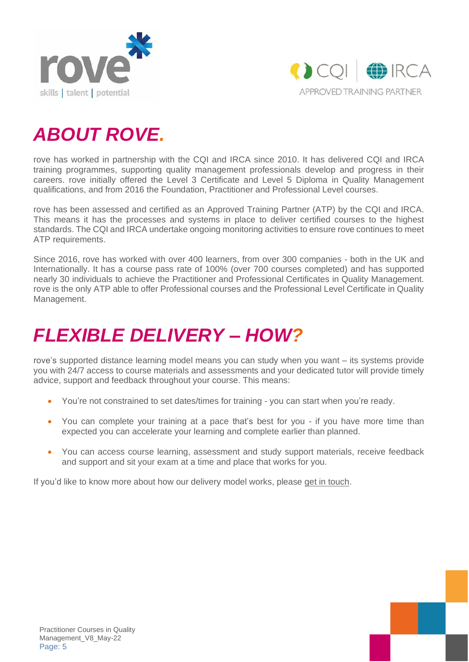



# *ABOUT ROVE.*

rove has worked in partnership with the CQI and IRCA since 2010. It has delivered CQI and IRCA training programmes, supporting quality management professionals develop and progress in their careers. rove initially offered the Level 3 Certificate and Level 5 Diploma in Quality Management qualifications, and from 2016 the Foundation, Practitioner and Professional Level courses.

rove has been assessed and certified as an Approved Training Partner (ATP) by the CQI and IRCA. This means it has the processes and systems in place to deliver certified courses to the highest standards. The CQI and IRCA undertake ongoing monitoring activities to ensure rove continues to meet ATP requirements.

Since 2016, rove has worked with over 400 learners, from over 300 companies - both in the UK and Internationally. It has a course pass rate of 100% (over 700 courses completed) and has supported nearly 30 individuals to achieve the Practitioner and Professional Certificates in Quality Management. rove is the only ATP able to offer Professional courses and the Professional Level Certificate in Quality Management.

# *FLEXIBLE DELIVERY – HOW?*

rove's supported distance learning model means you can study when you want – its systems provide you with 24/7 access to course materials and assessments and your dedicated tutor will provide timely advice, support and feedback throughout your course. This means:

- You're not constrained to set dates/times for training you can start when you're ready.
- You can complete your training at a pace that's best for you if you have more time than expected you can accelerate your learning and complete earlier than planned.
- You can access course learning, assessment and study support materials, receive feedback and support and sit your exam at a time and place that works for you.

If you'd like to know more about how our delivery model works, please get in [touch.](mailto:info@roveconsultancy.co.uk)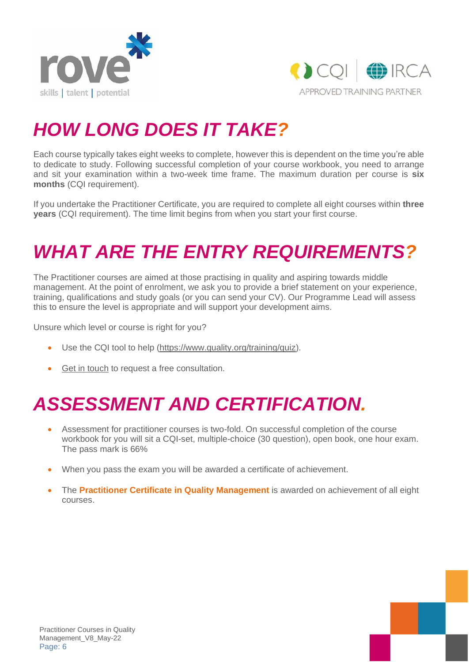



# *HOW LONG DOES IT TAKE?*

Each course typically takes eight weeks to complete, however this is dependent on the time you're able to dedicate to study. Following successful completion of your course workbook, you need to arrange and sit your examination within a two-week time frame. The maximum duration per course is **six months** (CQI requirement).

If you undertake the Practitioner Certificate, you are required to complete all eight courses within **three years** (CQI requirement). The time limit begins from when you start your first course.

# *WHAT ARE THE ENTRY REQUIREMENTS?*

The Practitioner courses are aimed at those practising in quality and aspiring towards middle management. At the point of enrolment, we ask you to provide a brief statement on your experience, training, qualifications and study goals (or you can send your CV). Our Programme Lead will assess this to ensure the level is appropriate and will support your development aims.

Unsure which level or course is right for you?

- Use the CQI tool to help [\(https://www.quality.org/training/quiz\)](https://www.quality.org/training/quiz).
- Get in [touch](mailto:info@roveconsultancy.co.uk) to request a free consultation.

# *ASSESSMENT AND CERTIFICATION.*

- Assessment for practitioner courses is two-fold. On successful completion of the course workbook for you will sit a CQI-set, multiple-choice (30 question), open book, one hour exam. The pass mark is 66%
- When you pass the exam you will be awarded a certificate of achievement.
- The **Practitioner Certificate in Quality Management** is awarded on achievement of all eight courses.

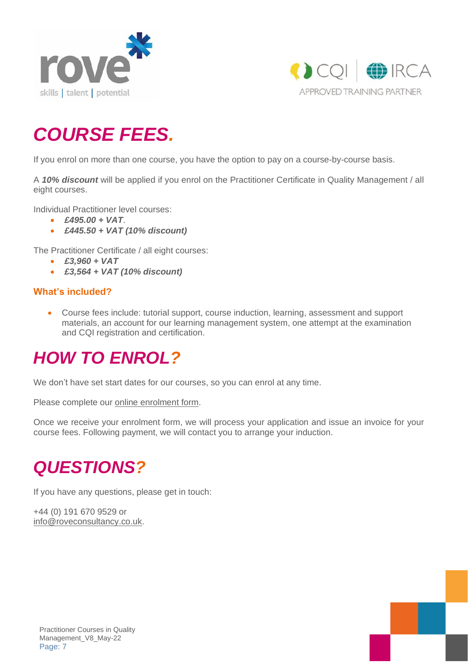



# *COURSE FEES.*

If you enrol on more than one course, you have the option to pay on a course-by-course basis.

A *10% discount* will be applied if you enrol on the Practitioner Certificate in Quality Management / all eight courses.

Individual Practitioner level courses:

- *£495.00 + VAT*.
- *£445.50 + VAT (10% discount)*

The Practitioner Certificate / all eight courses:

- *£3,960 + VAT*
- *£3,564 + VAT (10% discount)*

#### **What's included?**

• Course fees include: tutorial support, course induction, learning, assessment and support materials, an account for our learning management system, one attempt at the examination and CQI registration and certification.

### *HOW TO ENROL?*

We don't have set start dates for our courses, so you can enrol at any time.

Please complete our online [enrolment](https://www.surveymonkey.co.uk/r/CQIEnrolmentForm) form.

Once we receive your enrolment form, we will process your application and issue an invoice for your course fees. Following payment, we will contact you to arrange your induction.

### *QUESTIONS?*

If you have any questions, please get in touch:

+44 (0) 191 670 9529 or [info@roveconsultancy.co.uk.](mailto:info@roveconsultancy.co.uk)

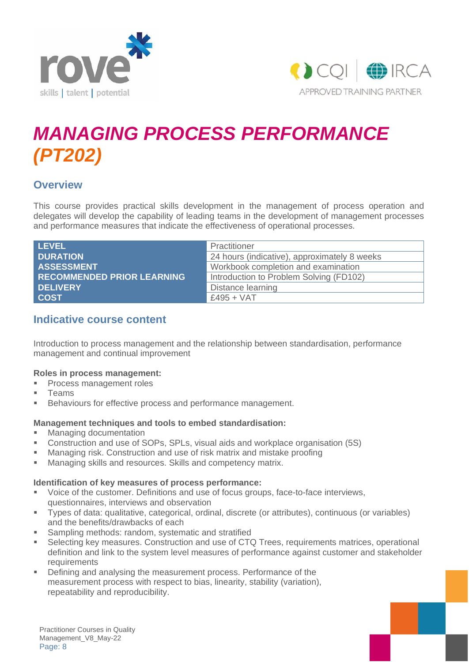



# *MANAGING PROCESS PERFORMANCE (PT202)*

### **Overview**

This course provides practical skills development in the management of process operation and delegates will develop the capability of leading teams in the development of management processes and performance measures that indicate the effectiveness of operational processes.

| LEVEL                             | Practitioner                                 |
|-----------------------------------|----------------------------------------------|
| <b>DURATION</b>                   | 24 hours (indicative), approximately 8 weeks |
| <b>ASSESSMENT</b>                 | Workbook completion and examination          |
| <b>RECOMMENDED PRIOR LEARNING</b> | Introduction to Problem Solving (FD102)      |
| <b>DELIVERY</b>                   | Distance learning                            |
| <b>COST</b>                       | £495 + VAT                                   |

### **Indicative course content**

Introduction to process management and the relationship between standardisation, performance management and continual improvement

#### **Roles in process management:**

- **Process management roles**
- **Teams**
- Behaviours for effective process and performance management.

#### **Management techniques and tools to embed standardisation:**

- Managing documentation
- Construction and use of SOPs, SPLs, visual aids and workplace organisation (5S)
- Managing risk. Construction and use of risk matrix and mistake proofing
- Managing skills and resources. Skills and competency matrix.

#### **Identification of key measures of process performance:**

- Voice of the customer. Definitions and use of focus groups, face-to-face interviews, questionnaires, interviews and observation
- Types of data: qualitative, categorical, ordinal, discrete (or attributes), continuous (or variables) and the benefits/drawbacks of each
- Sampling methods: random, systematic and stratified
- Selecting key measures. Construction and use of CTQ Trees, requirements matrices, operational definition and link to the system level measures of performance against customer and stakeholder requirements
- **Defining and analysing the measurement process. Performance of the** measurement process with respect to bias, linearity, stability (variation), repeatability and reproducibility.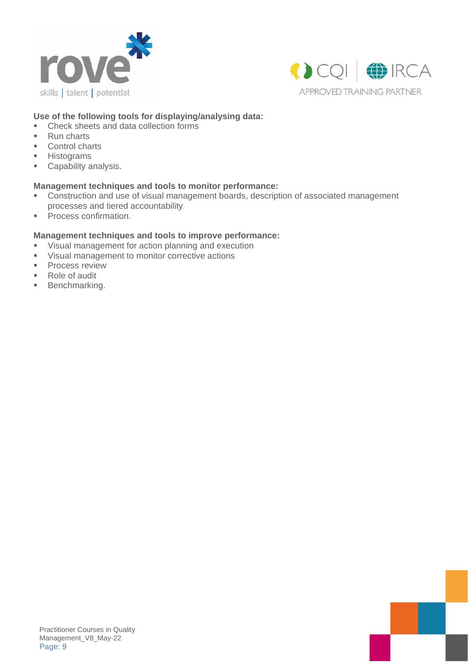



#### **Use of the following tools for displaying/analysing data:**

- Check sheets and data collection forms
- Run charts
- Control charts
- Histograms
- Capability analysis.

#### **Management techniques and tools to monitor performance:**

- Construction and use of visual management boards, description of associated management processes and tiered accountability
- Process confirmation.

#### **Management techniques and tools to improve performance:**

- Visual management for action planning and execution
- Visual management to monitor corrective actions
- **•** Process review
- Role of audit
- Benchmarking.

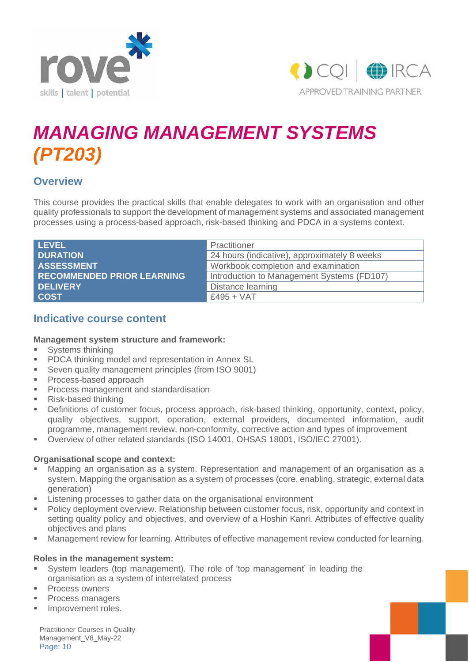



# *MANAGING MANAGEMENT SYSTEMS (PT203)*

### **Overview**

This course provides the practical skills that enable delegates to work with an organisation and other quality professionals to support the development of management systems and associated management processes using a process-based approach, risk-based thinking and PDCA in a systems context.

| <b>LEVEL</b>                      | Practitioner                                 |
|-----------------------------------|----------------------------------------------|
| <b>DURATION</b>                   | 24 hours (indicative), approximately 8 weeks |
| <b>ASSESSMENT</b>                 | Workbook completion and examination          |
| <b>RECOMMENDED PRIOR LEARNING</b> | Introduction to Management Systems (FD107)   |
| <b>DELIVERY</b>                   | Distance learning                            |
| <b>COST</b>                       | $£495 + VAT$                                 |

### **Indicative course content**

#### **Management system structure and framework:**

- **■** Systems thinking
- PDCA thinking model and representation in Annex SL
- Seven quality management principles (from ISO 9001)
- Process-based approach
- **Process management and standardisation**
- Risk-based thinking
- **•** Definitions of customer focus, process approach, risk-based thinking, opportunity, context, policy, quality objectives, support, operation, external providers, documented information, audit programme, management review, non-conformity, corrective action and types of improvement
- Overview of other related standards (ISO 14001, OHSAS 18001, ISO/IEC 27001).

#### **Organisational scope and context:**

- Mapping an organisation as a system. Representation and management of an organisation as a system. Mapping the organisation as a system of processes (core, enabling, strategic, external data generation)
- Listening processes to gather data on the organisational environment
- Policy deployment overview. Relationship between customer focus, risk, opportunity and context in setting quality policy and objectives, and overview of a Hoshin Kanri. Attributes of effective quality objectives and plans
- Management review for learning. Attributes of effective management review conducted for learning.

#### **Roles in the management system:**

- System leaders (top management). The role of 'top management' in leading the organisation as a system of interrelated process
- Process owners
- Process managers
- **■** Improvement roles.

Practitioner Courses in Quality Management\_V8\_May-22 Page: 10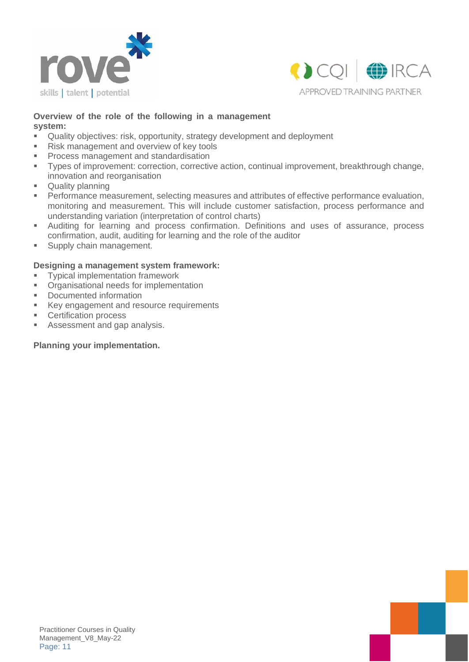



#### **Overview of the role of the following in a management system:**

- Quality objectives: risk, opportunity, strategy development and deployment
- Risk management and overview of key tools
- **Process management and standardisation**
- Types of improvement: correction, corrective action, continual improvement, breakthrough change, innovation and reorganisation
- Quality planning
- **Performance measurement, selecting measures and attributes of effective performance evaluation,** monitoring and measurement. This will include customer satisfaction, process performance and understanding variation (interpretation of control charts)
- Auditing for learning and process confirmation. Definitions and uses of assurance, process confirmation, audit, auditing for learning and the role of the auditor
- **■** Supply chain management.

#### **Designing a management system framework:**

- Typical implementation framework
- Organisational needs for implementation
- Documented information
- Key engagement and resource requirements
- Certification process
- Assessment and gap analysis.

#### **Planning your implementation.**

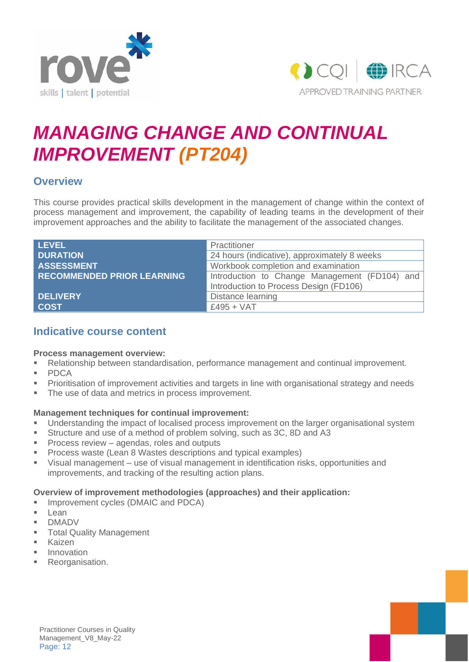



# *MANAGING CHANGE AND CONTINUAL IMPROVEMENT (PT204)*

### **Overview**

This course provides practical skills development in the management of change within the context of process management and improvement, the capability of leading teams in the development of their improvement approaches and the ability to facilitate the management of the associated changes.

| <b>LEVEL</b>                      | Practitioner                                  |  |
|-----------------------------------|-----------------------------------------------|--|
| <b>DURATION</b>                   | 24 hours (indicative), approximately 8 weeks  |  |
| <b>ASSESSMENT</b>                 | Workbook completion and examination           |  |
| <b>RECOMMENDED PRIOR LEARNING</b> | Introduction to Change Management (FD104) and |  |
|                                   | Introduction to Process Design (FD106)        |  |
| <b>DELIVERY</b>                   | Distance learning                             |  |
| <b>COST</b>                       | $£495 + VAT$                                  |  |

### **Indicative course content**

#### **Process management overview:**

- Relationship between standardisation, performance management and continual improvement.
- PDCA
- Prioritisation of improvement activities and targets in line with organisational strategy and needs
- The use of data and metrics in process improvement.

#### **Management techniques for continual improvement:**

- Understanding the impact of localised process improvement on the larger organisational system
- **EXECUTE:** Structure and use of a method of problem solving, such as 3C, 8D and A3
- Process review agendas, roles and outputs
- Process waste (Lean 8 Wastes descriptions and typical examples)
- Visual management use of visual management in identification risks, opportunities and improvements, and tracking of the resulting action plans.

#### **Overview of improvement methodologies (approaches) and their application:**

- **■** Improvement cycles (DMAIC and PDCA)
- Lean
- DMADV
- **Total Quality Management**
- Kaizen
- **Innovation**
- **■** Reorganisation.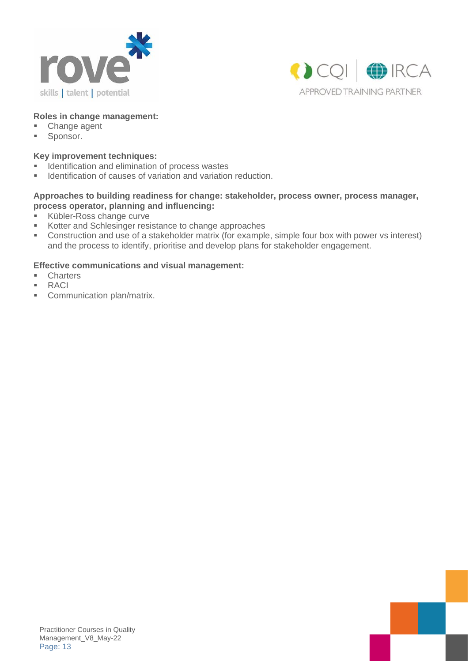



#### **Roles in change management:**

- Change agent
- Sponsor.

#### **Key improvement techniques:**

- **EXEDENT** Identification and elimination of process wastes
- **■** Identification of causes of variation and variation reduction.

#### **Approaches to building readiness for change: stakeholder, process owner, process manager, process operator, planning and influencing:**

- Kübler-Ross change curve
- Kotter and Schlesinger resistance to change approaches
- Construction and use of a stakeholder matrix (for example, simple four box with power vs interest) and the process to identify, prioritise and develop plans for stakeholder engagement.

#### **Effective communications and visual management:**

- Charters
- RACI
- Communication plan/matrix.

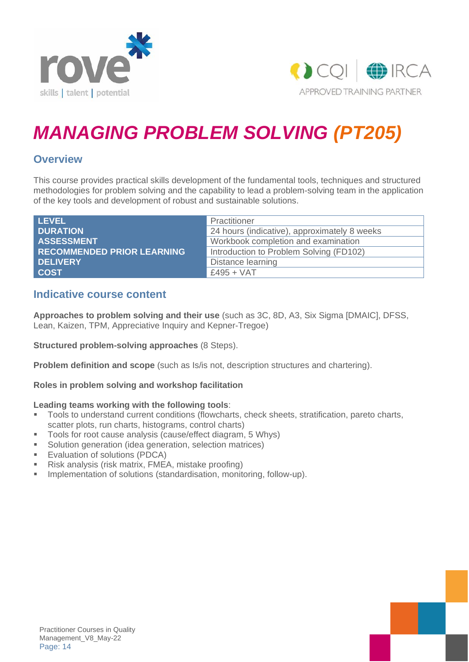



# *MANAGING PROBLEM SOLVING (PT205)*

### **Overview**

This course provides practical skills development of the fundamental tools, techniques and structured methodologies for problem solving and the capability to lead a problem-solving team in the application of the key tools and development of robust and sustainable solutions.

| <b>LEVEL</b>                      | Practitioner                                 |
|-----------------------------------|----------------------------------------------|
| <b>DURATION</b>                   | 24 hours (indicative), approximately 8 weeks |
| <b>ASSESSMENT</b>                 | Workbook completion and examination          |
| <b>RECOMMENDED PRIOR LEARNING</b> | Introduction to Problem Solving (FD102)      |
| DELIVERY                          | Distance learning                            |
| <b>COST</b>                       | $£495 + VAT$                                 |

### **Indicative course content**

**Approaches to problem solving and their use** (such as 3C, 8D, A3, Six Sigma [DMAIC], DFSS, Lean, Kaizen, TPM, Appreciative Inquiry and Kepner-Tregoe)

**Structured problem-solving approaches** (8 Steps).

**Problem definition and scope** (such as Is/is not, description structures and chartering).

#### **Roles in problem solving and workshop facilitation**

#### **Leading teams working with the following tools**:

- Tools to understand current conditions (flowcharts, check sheets, stratification, pareto charts, scatter plots, run charts, histograms, control charts)
- Tools for root cause analysis (cause/effect diagram, 5 Whys)
- Solution generation (idea generation, selection matrices)
- Evaluation of solutions (PDCA)
- Risk analysis (risk matrix, FMEA, mistake proofing)
- Implementation of solutions (standardisation, monitoring, follow-up).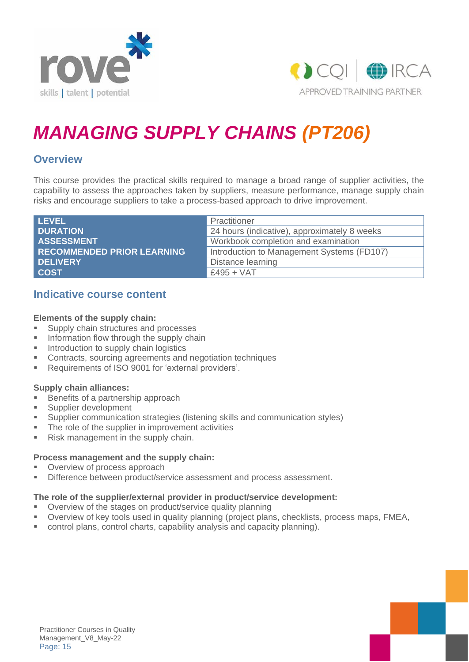



# *MANAGING SUPPLY CHAINS (PT206)*

### **Overview**

This course provides the practical skills required to manage a broad range of supplier activities, the capability to assess the approaches taken by suppliers, measure performance, manage supply chain risks and encourage suppliers to take a process-based approach to drive improvement.

| <b>LEVEL</b>                      | Practitioner                                 |
|-----------------------------------|----------------------------------------------|
| <b>DURATION</b>                   | 24 hours (indicative), approximately 8 weeks |
| <b>ASSESSMENT</b>                 | Workbook completion and examination          |
| <b>RECOMMENDED PRIOR LEARNING</b> | Introduction to Management Systems (FD107)   |
| <b>DELIVERY</b>                   | Distance learning                            |
| <b>COST</b>                       | $£495 + VAT$                                 |

### **Indicative course content**

#### **Elements of the supply chain:**

- Supply chain structures and processes
- **■** Information flow through the supply chain
- **■** Introduction to supply chain logistics
- Contracts, sourcing agreements and negotiation techniques
- Requirements of ISO 9001 for 'external providers'.

#### **Supply chain alliances:**

- Benefits of a partnership approach
- Supplier development
- Supplier communication strategies (listening skills and communication styles)
- The role of the supplier in improvement activities
- Risk management in the supply chain.

#### **Process management and the supply chain:**

- Overview of process approach
- Difference between product/service assessment and process assessment.

#### **The role of the supplier/external provider in product/service development:**

- Overview of the stages on product/service quality planning
- Overview of key tools used in quality planning (project plans, checklists, process maps, FMEA,
- control plans, control charts, capability analysis and capacity planning).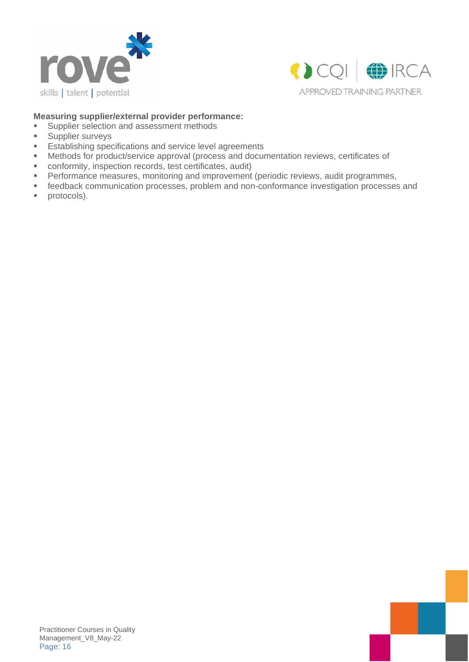



#### **Measuring supplier/external provider performance:**

- Supplier selection and assessment methods<br>■ Supplier surveys
- Supplier surveys
- **Establishing specifications and service level agreements**
- Methods for product/service approval (process and documentation reviews, certificates of
- conformity, inspection records, test certificates, audit)
- **•** Performance measures, monitoring and improvement (periodic reviews, audit programmes,
- feedback communication processes, problem and non-conformance investigation processes and
- protocols).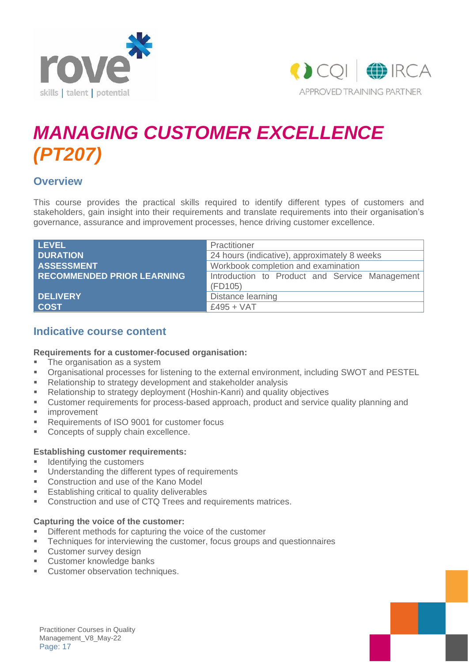



# *MANAGING CUSTOMER EXCELLENCE (PT207)*

### **Overview**

This course provides the practical skills required to identify different types of customers and stakeholders, gain insight into their requirements and translate requirements into their organisation's governance, assurance and improvement processes, hence driving customer excellence.

| <b>LEVEL</b>                      | Practitioner                                   |  |
|-----------------------------------|------------------------------------------------|--|
| <b>DURATION</b>                   | 24 hours (indicative), approximately 8 weeks   |  |
| <b>ASSESSMENT</b>                 | Workbook completion and examination            |  |
| <b>RECOMMENDED PRIOR LEARNING</b> | Introduction to Product and Service Management |  |
|                                   | (FD105)                                        |  |
| <b>DELIVERY</b>                   | Distance learning                              |  |
| <b>COST</b>                       | $£495 + VAT$                                   |  |

### **Indicative course content**

#### **Requirements for a customer-focused organisation:**

- **•** The organisation as a system
- Organisational processes for listening to the external environment, including SWOT and PESTEL
- Relationship to strategy development and stakeholder analysis
- Relationship to strategy deployment (Hoshin-Kanri) and quality objectives
- Customer requirements for process-based approach, product and service quality planning and
- **■** improvement
- Requirements of ISO 9001 for customer focus
- Concepts of supply chain excellence.

#### **Establishing customer requirements:**

- Identifying the customers
- Understanding the different types of requirements
- Construction and use of the Kano Model
- Establishing critical to quality deliverables
- Construction and use of CTQ Trees and requirements matrices.

#### **Capturing the voice of the customer:**

- Different methods for capturing the voice of the customer
- **•** Techniques for interviewing the customer, focus groups and questionnaires
- **Customer survey design**
- Customer knowledge banks
- Customer observation techniques.

Practitioner Courses in Quality Management\_V8\_May-22 Page: 17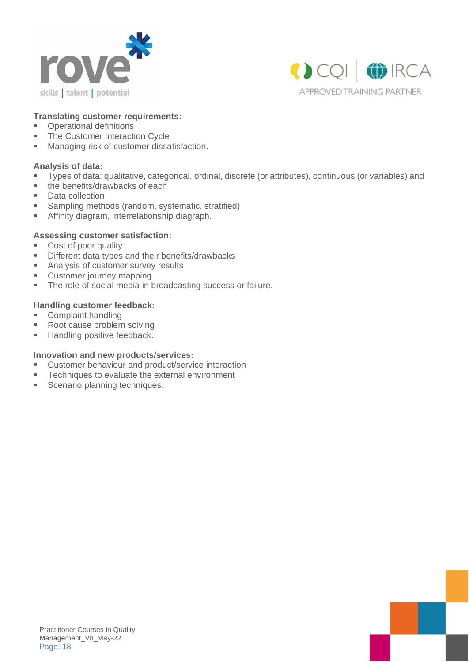



#### **Translating customer requirements:**

- Operational definitions
- The Customer Interaction Cycle
- Managing risk of customer dissatisfaction.

#### **Analysis of data:**

- Types of data: qualitative, categorical, ordinal, discrete (or attributes), continuous (or variables) and
- the benefits/drawbacks of each
- Data collection
- Sampling methods (random, systematic, stratified)
- **EXECUTE:** Affinity diagram, interrelationship diagraph.

#### **Assessing customer satisfaction:**

- Cost of poor quality
- **EXECUTE:** Different data types and their benefits/drawbacks
- Analysis of customer survey results
- Customer journey mapping
- The role of social media in broadcasting success or failure.

#### **Handling customer feedback:**

- Complaint handling
- Root cause problem solving
- Handling positive feedback.

#### **Innovation and new products/services:**

- Customer behaviour and product/service interaction
- Techniques to evaluate the external environment
- **EXEC** Scenario planning techniques.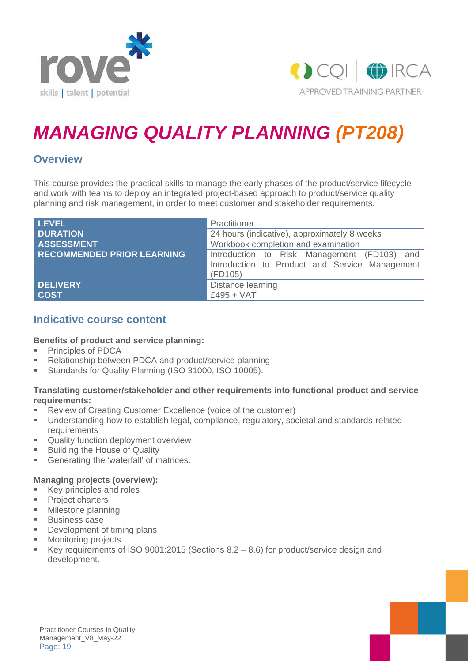



# *MANAGING QUALITY PLANNING (PT208)*

### **Overview**

This course provides the practical skills to manage the early phases of the product/service lifecycle and work with teams to deploy an integrated project-based approach to product/service quality planning and risk management, in order to meet customer and stakeholder requirements.

| <b>LEVEL</b>                      | Practitioner                                              |  |
|-----------------------------------|-----------------------------------------------------------|--|
| <b>DURATION</b>                   | 24 hours (indicative), approximately 8 weeks              |  |
| <b>ASSESSMENT</b>                 | Workbook completion and examination                       |  |
| <b>RECOMMENDED PRIOR LEARNING</b> | Introduction to Risk Management (FD103) and               |  |
|                                   | Introduction to Product and Service Management<br>(FD105) |  |
| <b>DELIVERY</b>                   | Distance learning                                         |  |
| <b>COST</b>                       | $£495 + VAT$                                              |  |

### **Indicative course content**

#### **Benefits of product and service planning:**

- Principles of PDCA
- Relationship between PDCA and product/service planning
- **E** Standards for Quality Planning (ISO 31000, ISO 10005).

#### **Translating customer/stakeholder and other requirements into functional product and service requirements:**

- Review of Creating Customer Excellence (voice of the customer)
- Understanding how to establish legal, compliance, regulatory, societal and standards-related requirements
- Quality function deployment overview
- **Building the House of Quality**
- **EXEC** Generating the 'waterfall' of matrices.

#### **Managing projects (overview):**

- Key principles and roles
- **•** Project charters
- Milestone planning
- Business case
- **•** Development of timing plans
- Monitoring projects
- E Key requirements of ISO 9001:2015 (Sections  $8.2 8.6$ ) for product/service design and development.

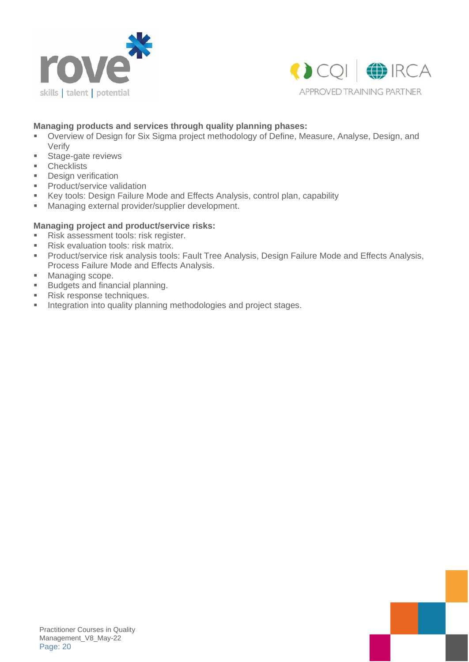



#### **Managing products and services through quality planning phases:**

- Overview of Design for Six Sigma project methodology of Define, Measure, Analyse, Design, and Verify
- Stage-gate reviews
- Checklists
- **•** Design verification
- **•** Product/service validation
- Key tools: Design Failure Mode and Effects Analysis, control plan, capability
- Managing external provider/supplier development.

#### **Managing project and product/service risks:**

- Risk assessment tools: risk register.
- Risk evaluation tools: risk matrix.
- Product/service risk analysis tools: Fault Tree Analysis, Design Failure Mode and Effects Analysis, Process Failure Mode and Effects Analysis.
- Managing scope.
- Budgets and financial planning.
- Risk response techniques.
- **■** Integration into quality planning methodologies and project stages.

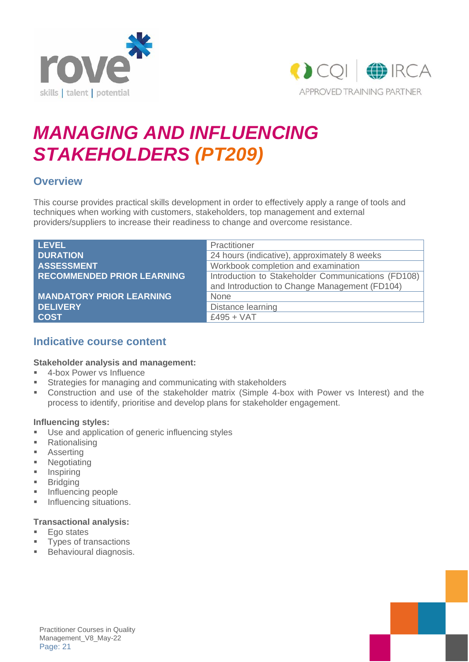



# *MANAGING AND INFLUENCING STAKEHOLDERS (PT209)*

### **Overview**

This course provides practical skills development in order to effectively apply a range of tools and techniques when working with customers, stakeholders, top management and external providers/suppliers to increase their readiness to change and overcome resistance.

| <b>LEVEL</b>                      | Practitioner                                       |
|-----------------------------------|----------------------------------------------------|
| <b>DURATION</b>                   | 24 hours (indicative), approximately 8 weeks       |
| <b>ASSESSMENT</b>                 | Workbook completion and examination                |
| <b>RECOMMENDED PRIOR LEARNING</b> | Introduction to Stakeholder Communications (FD108) |
|                                   | and Introduction to Change Management (FD104)      |
| <b>MANDATORY PRIOR LEARNING</b>   | None                                               |
| <b>DELIVERY</b>                   | Distance learning                                  |
| <b>COST</b>                       | $£495 + VAT$                                       |

### **Indicative course content**

#### **Stakeholder analysis and management:**

- 4-box Power vs Influence
- **EXECTE Strategies for managing and communicating with stakeholders**
- Construction and use of the stakeholder matrix (Simple 4-box with Power vs Interest) and the process to identify, prioritise and develop plans for stakeholder engagement.

#### **Influencing styles:**

- Use and application of generic influencing styles
- Rationalising
- Asserting
- Negotiating
- **·** Inspiring
- Bridging
- Influencing people
- **·** Influencing situations.

#### **Transactional analysis:**

- Ego states
- **Types of transactions**
- Behavioural diagnosis.